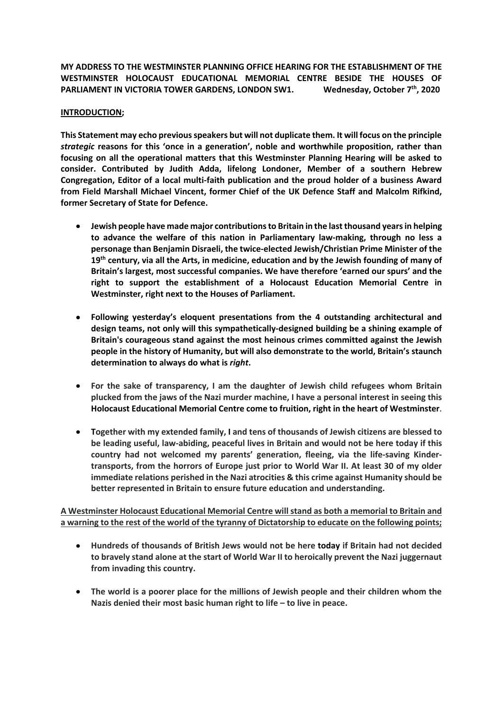**MY ADDRESS TO THE WESTMINSTER PLANNING OFFICE HEARING FOR THE ESTABLISHMENT OF THE WESTMINSTER HOLOCAUST EDUCATIONAL MEMORIAL CENTRE BESIDE THE HOUSES OF**  PARLIAMENT IN VICTORIA TOWER GARDENS, LONDON SW1. Wednesday, October 7<sup>th</sup>, 2020

## **INTRODUCTION;**

**This Statement may echo previous speakers but will not duplicate them. It will focus on the principle**  *strategic* **reasons for this 'once in a generation', noble and worthwhile proposition, rather than focusing on all the operational matters that this Westminster Planning Hearing will be asked to consider. Contributed by Judith Adda, lifelong Londoner, Member of a southern Hebrew Congregation, Editor of a local multi-faith publication and the proud holder of a business Award from Field Marshall Michael Vincent, former Chief of the UK Defence Staff and Malcolm Rifkind, former Secretary of State for Defence.** 

- **Jewish people have made major contributions to Britain in the last thousand years in helping to advance the welfare of this nation in Parliamentary law-making, through no less a personage than Benjamin Disraeli, the twice-elected Jewish/Christian Prime Minister of the 19th century, via all the Arts, in medicine, education and by the Jewish founding of many of Britain's largest, most successful companies. We have therefore 'earned our spurs' and the right to support the establishment of a Holocaust Education Memorial Centre in Westminster, right next to the Houses of Parliament.**
- **Following yesterday's eloquent presentations from the 4 outstanding architectural and design teams, not only will this sympathetically-designed building be a shining example of Britain's courageous stand against the most heinous crimes committed against the Jewish people in the history of Humanity, but will also demonstrate to the world, Britain's staunch determination to always do what is** *right***.**
- **For the sake of transparency, I am the daughter of Jewish child refugees whom Britain plucked from the jaws of the Nazi murder machine, I have a personal interest in seeing this Holocaust Educational Memorial Centre come to fruition, right in the heart of Westminster**.
- **Together with my extended family, I and tens of thousands of Jewish citizens are blessed to be leading useful, law-abiding, peaceful lives in Britain and would not be here today if this country had not welcomed my parents' generation, fleeing, via the life-saving Kindertransports, from the horrors of Europe just prior to World War II. At least 30 of my older immediate relations perished in the Nazi atrocities & this crime against Humanity should be better represented in Britain to ensure future education and understanding.**

**A Westminster Holocaust Educational Memorial Centre will stand as both a memorial to Britain and a warning to the rest of the world of the tyranny of Dictatorship to educate on the following points;**

- **Hundreds of thousands of British Jews would not be here today if Britain had not decided to bravely stand alone at the start of World War II to heroically prevent the Nazi juggernaut from invading this country.**
- **The world is a poorer place for the millions of Jewish people and their children whom the Nazis denied their most basic human right to life – to live in peace.**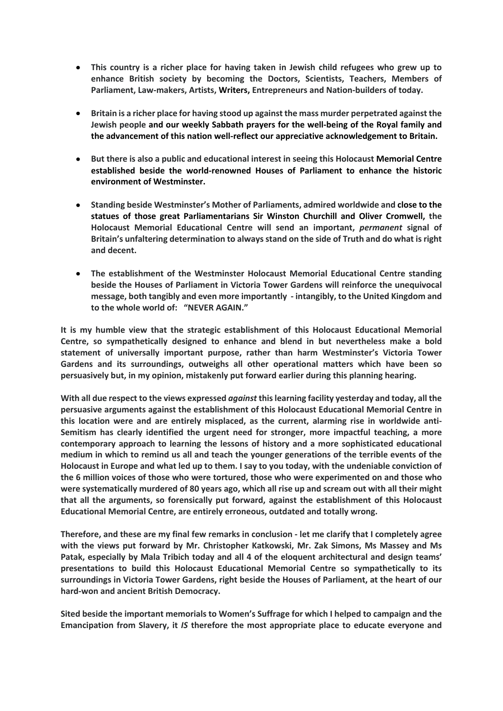- **This country is a richer place for having taken in Jewish child refugees who grew up to enhance British society by becoming the Doctors, Scientists, Teachers, Members of Parliament, Law-makers, Artists, Writers, Entrepreneurs and Nation-builders of today.**
- **Britain is a richer place for having stood up against the mass murder perpetrated against the Jewish people and our weekly Sabbath prayers for the well-being of the Royal family and the advancement of this nation well-reflect our appreciative acknowledgement to Britain.**
- **But there is also a public and educational interest in seeing this Holocaust Memorial Centre established beside the world-renowned Houses of Parliament to enhance the historic environment of Westminster.**
- **Standing beside Westminster's Mother of Parliaments, admired worldwide and close to the statues of those great Parliamentarians Sir Winston Churchill and Oliver Cromwell, the Holocaust Memorial Educational Centre will send an important,** *permanent* **signal of Britain's unfaltering determination to always stand on the side of Truth and do what is right and decent.**
- **The establishment of the Westminster Holocaust Memorial Educational Centre standing beside the Houses of Parliament in Victoria Tower Gardens will reinforce the unequivocal message, both tangibly and even more importantly - intangibly, to the United Kingdom and to the whole world of: "NEVER AGAIN."**

**It is my humble view that the strategic establishment of this Holocaust Educational Memorial Centre, so sympathetically designed to enhance and blend in but nevertheless make a bold statement of universally important purpose, rather than harm Westminster's Victoria Tower Gardens and its surroundings, outweighs all other operational matters which have been so persuasively but, in my opinion, mistakenly put forward earlier during this planning hearing.**

**With all due respect to the views expressed** *against* **this learning facility yesterday and today, all the persuasive arguments against the establishment of this Holocaust Educational Memorial Centre in this location were and are entirely misplaced, as the current, alarming rise in worldwide anti-Semitism has clearly identified the urgent need for stronger, more impactful teaching, a more contemporary approach to learning the lessons of history and a more sophisticated educational medium in which to remind us all and teach the younger generations of the terrible events of the Holocaust in Europe and what led up to them. I say to you today, with the undeniable conviction of the 6 million voices of those who were tortured, those who were experimented on and those who were systematically murdered of 80 years ago, which all rise up and scream out with all their might that all the arguments, so forensically put forward, against the establishment of this Holocaust Educational Memorial Centre, are entirely erroneous, outdated and totally wrong.**

**Therefore, and these are my final few remarks in conclusion - let me clarify that I completely agree with the views put forward by Mr. Christopher Katkowski, Mr. Zak Simons, Ms Massey and Ms Patak, especially by Mala Tribich today and all 4 of the eloquent architectural and design teams' presentations to build this Holocaust Educational Memorial Centre so sympathetically to its surroundings in Victoria Tower Gardens, right beside the Houses of Parliament, at the heart of our hard-won and ancient British Democracy.** 

**Sited beside the important memorials to Women's Suffrage for which I helped to campaign and the Emancipation from Slavery, it** *IS* **therefore the most appropriate place to educate everyone and**